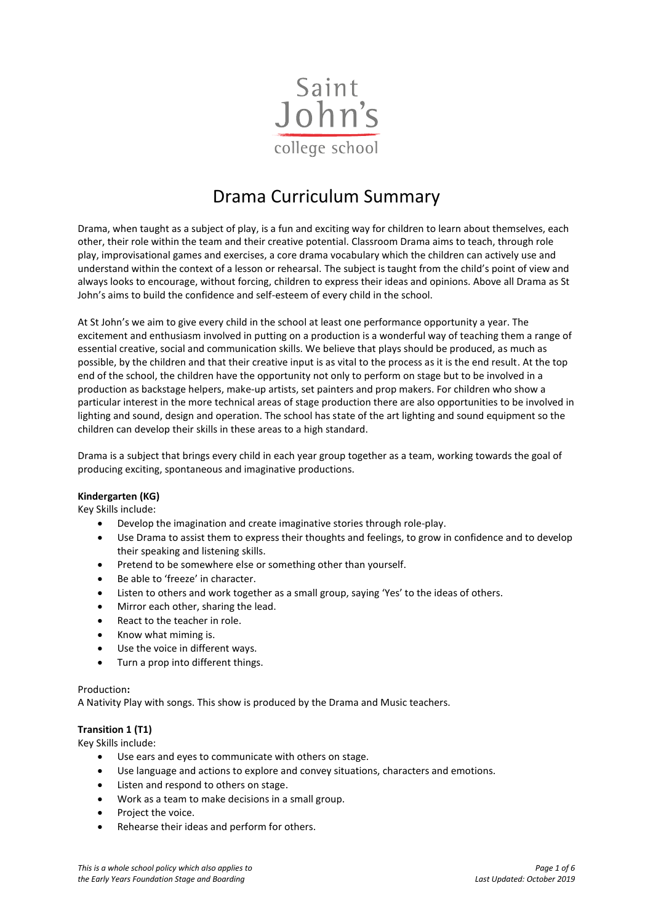

# Drama Curriculum Summary

Drama, when taught as a subject of play, is a fun and exciting way for children to learn about themselves, each other, their role within the team and their creative potential. Classroom Drama aims to teach, through role play, improvisational games and exercises, a core drama vocabulary which the children can actively use and understand within the context of a lesson or rehearsal. The subject is taught from the child's point of view and always looks to encourage, without forcing, children to express their ideas and opinions. Above all Drama as St John's aims to build the confidence and self-esteem of every child in the school.

At St John's we aim to give every child in the school at least one performance opportunity a year. The excitement and enthusiasm involved in putting on a production is a wonderful way of teaching them a range of essential creative, social and communication skills. We believe that plays should be produced, as much as possible, by the children and that their creative input is as vital to the process as it is the end result. At the top end of the school, the children have the opportunity not only to perform on stage but to be involved in a production as backstage helpers, make-up artists, set painters and prop makers. For children who show a particular interest in the more technical areas of stage production there are also opportunities to be involved in lighting and sound, design and operation. The school has state of the art lighting and sound equipment so the children can develop their skills in these areas to a high standard.

Drama is a subject that brings every child in each year group together as a team, working towards the goal of producing exciting, spontaneous and imaginative productions.

# **Kindergarten (KG)**

Key Skills include:

- Develop the imagination and create imaginative stories through role-play.
- Use Drama to assist them to express their thoughts and feelings, to grow in confidence and to develop their speaking and listening skills.
- Pretend to be somewhere else or something other than yourself.
- Be able to 'freeze' in character.
- Listen to others and work together as a small group, saying 'Yes' to the ideas of others.
- Mirror each other, sharing the lead.
- React to the teacher in role.
- Know what miming is.
- Use the voice in different ways.
- Turn a prop into different things.

# Production**:**

A Nativity Play with songs. This show is produced by the Drama and Music teachers.

# **Transition 1 (T1)**

Key Skills include:

- Use ears and eyes to communicate with others on stage.
- Use language and actions to explore and convey situations, characters and emotions.
- Listen and respond to others on stage.
- Work as a team to make decisions in a small group.
- Project the voice.
- Rehearse their ideas and perform for others.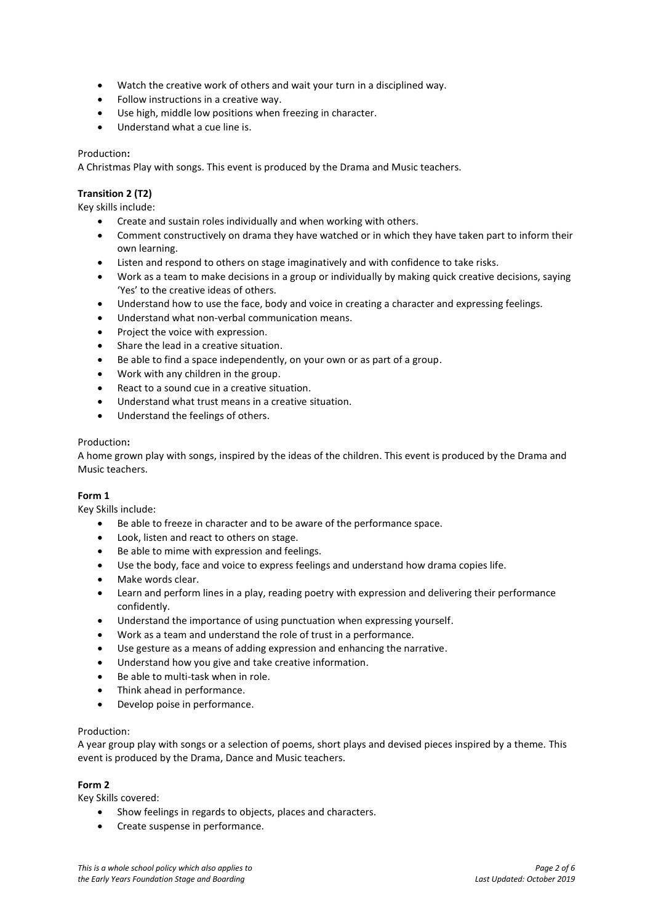- Watch the creative work of others and wait your turn in a disciplined way.
- Follow instructions in a creative way.
- Use high, middle low positions when freezing in character.
- Understand what a cue line is.

# Production**:**

A Christmas Play with songs. This event is produced by the Drama and Music teachers.

# **Transition 2 (T2)**

Key skills include:

- Create and sustain roles individually and when working with others.
- Comment constructively on drama they have watched or in which they have taken part to inform their own learning.
- Listen and respond to others on stage imaginatively and with confidence to take risks.
- Work as a team to make decisions in a group or individually by making quick creative decisions, saying 'Yes' to the creative ideas of others.
- Understand how to use the face, body and voice in creating a character and expressing feelings.
- Understand what non-verbal communication means.
- Project the voice with expression.
- Share the lead in a creative situation.
- Be able to find a space independently, on your own or as part of a group.
- Work with any children in the group.
- React to a sound cue in a creative situation.
- Understand what trust means in a creative situation.
- Understand the feelings of others.

#### Production**:**

A home grown play with songs, inspired by the ideas of the children. This event is produced by the Drama and Music teachers.

#### **Form 1**

Key Skills include:

- Be able to freeze in character and to be aware of the performance space.
- Look, listen and react to others on stage.
- Be able to mime with expression and feelings.
- Use the body, face and voice to express feelings and understand how drama copies life.
- Make words clear.
- Learn and perform lines in a play, reading poetry with expression and delivering their performance confidently.
- Understand the importance of using punctuation when expressing yourself.
- Work as a team and understand the role of trust in a performance.
- Use gesture as a means of adding expression and enhancing the narrative.
- Understand how you give and take creative information.
- Be able to multi-task when in role.
- Think ahead in performance.
- Develop poise in performance.

#### Production:

A year group play with songs or a selection of poems, short plays and devised pieces inspired by a theme. This event is produced by the Drama, Dance and Music teachers.

# **Form 2**

Key Skills covered:

- Show feelings in regards to objects, places and characters.
- Create suspense in performance.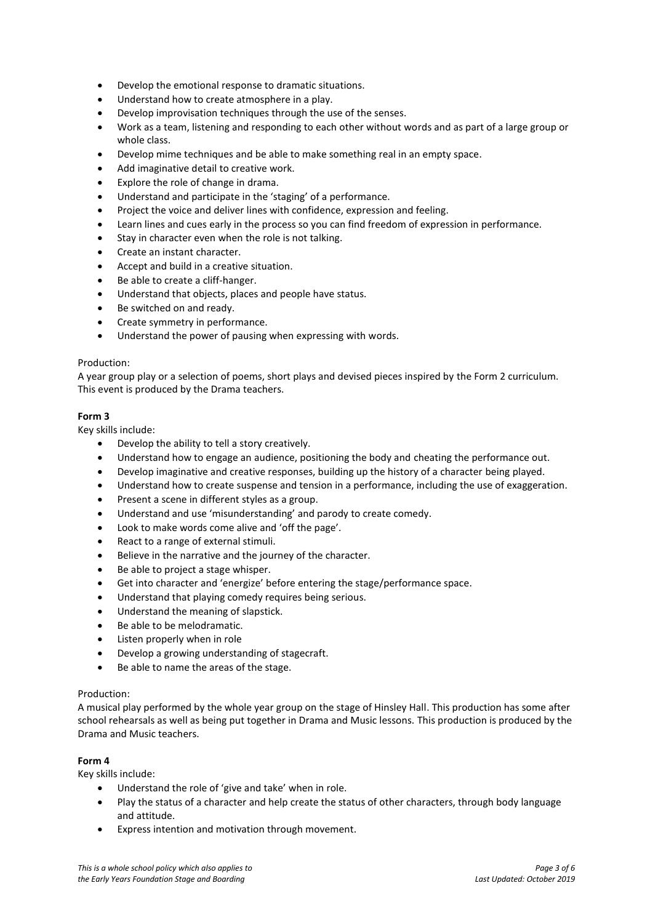- Develop the emotional response to dramatic situations.
- Understand how to create atmosphere in a play.
- Develop improvisation techniques through the use of the senses.
- Work as a team, listening and responding to each other without words and as part of a large group or whole class.
- Develop mime techniques and be able to make something real in an empty space.
- Add imaginative detail to creative work.
- Explore the role of change in drama.
- Understand and participate in the 'staging' of a performance.
- Project the voice and deliver lines with confidence, expression and feeling.
- Learn lines and cues early in the process so you can find freedom of expression in performance.
- Stay in character even when the role is not talking.
- Create an instant character.
- Accept and build in a creative situation.
- Be able to create a cliff-hanger.
- Understand that objects, places and people have status.
- Be switched on and ready.
- Create symmetry in performance.
- Understand the power of pausing when expressing with words.

#### Production:

A year group play or a selection of poems, short plays and devised pieces inspired by the Form 2 curriculum. This event is produced by the Drama teachers.

# **Form 3**

Key skills include:

- Develop the ability to tell a story creatively.
- Understand how to engage an audience, positioning the body and cheating the performance out.
- Develop imaginative and creative responses, building up the history of a character being played.
- Understand how to create suspense and tension in a performance, including the use of exaggeration.
- Present a scene in different styles as a group.
- Understand and use 'misunderstanding' and parody to create comedy.
- Look to make words come alive and 'off the page'.
- React to a range of external stimuli.
- Believe in the narrative and the journey of the character.
- Be able to project a stage whisper.
- Get into character and 'energize' before entering the stage/performance space.
- Understand that playing comedy requires being serious.
- Understand the meaning of slapstick.
- Be able to be melodramatic.
- Listen properly when in role
- Develop a growing understanding of stagecraft.
- Be able to name the areas of the stage.

# Production:

A musical play performed by the whole year group on the stage of Hinsley Hall. This production has some after school rehearsals as well as being put together in Drama and Music lessons. This production is produced by the Drama and Music teachers.

# **Form 4**

Key skills include:

- Understand the role of 'give and take' when in role.
- Play the status of a character and help create the status of other characters, through body language and attitude.
- Express intention and motivation through movement.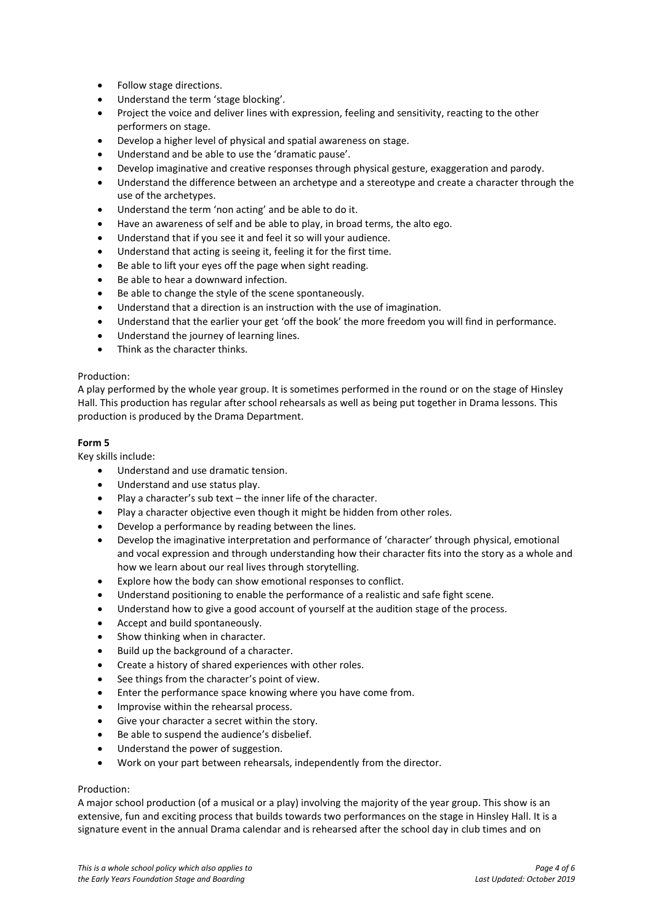- Follow stage directions.
- Understand the term 'stage blocking'.
- Project the voice and deliver lines with expression, feeling and sensitivity, reacting to the other performers on stage.
- Develop a higher level of physical and spatial awareness on stage.
- Understand and be able to use the 'dramatic pause'.
- Develop imaginative and creative responses through physical gesture, exaggeration and parody.
- Understand the difference between an archetype and a stereotype and create a character through the use of the archetypes.
- Understand the term 'non acting' and be able to do it.
- Have an awareness of self and be able to play, in broad terms, the alto ego.
- Understand that if you see it and feel it so will your audience.
- Understand that acting is seeing it, feeling it for the first time.
- Be able to lift your eyes off the page when sight reading.
- Be able to hear a downward infection.
- Be able to change the style of the scene spontaneously.
- Understand that a direction is an instruction with the use of imagination.
- Understand that the earlier your get 'off the book' the more freedom you will find in performance.
- Understand the journey of learning lines.
- Think as the character thinks.

#### Production:

A play performed by the whole year group. It is sometimes performed in the round or on the stage of Hinsley Hall. This production has regular after school rehearsals as well as being put together in Drama lessons. This production is produced by the Drama Department.

# **Form 5**

Key skills include:

- Understand and use dramatic tension.
- Understand and use status play.
- Play a character's sub text the inner life of the character.
- Play a character objective even though it might be hidden from other roles.
- Develop a performance by reading between the lines.
- Develop the imaginative interpretation and performance of 'character' through physical, emotional and vocal expression and through understanding how their character fits into the story as a whole and how we learn about our real lives through storytelling.
- Explore how the body can show emotional responses to conflict.
- Understand positioning to enable the performance of a realistic and safe fight scene.
- Understand how to give a good account of yourself at the audition stage of the process.
- Accept and build spontaneously.
- Show thinking when in character.
- Build up the background of a character.
- Create a history of shared experiences with other roles.
- See things from the character's point of view.
- Enter the performance space knowing where you have come from.
- Improvise within the rehearsal process.
- Give your character a secret within the story.
- Be able to suspend the audience's disbelief.
- Understand the power of suggestion.
- Work on your part between rehearsals, independently from the director.

# Production:

A major school production (of a musical or a play) involving the majority of the year group. This show is an extensive, fun and exciting process that builds towards two performances on the stage in Hinsley Hall. It is a signature event in the annual Drama calendar and is rehearsed after the school day in club times and on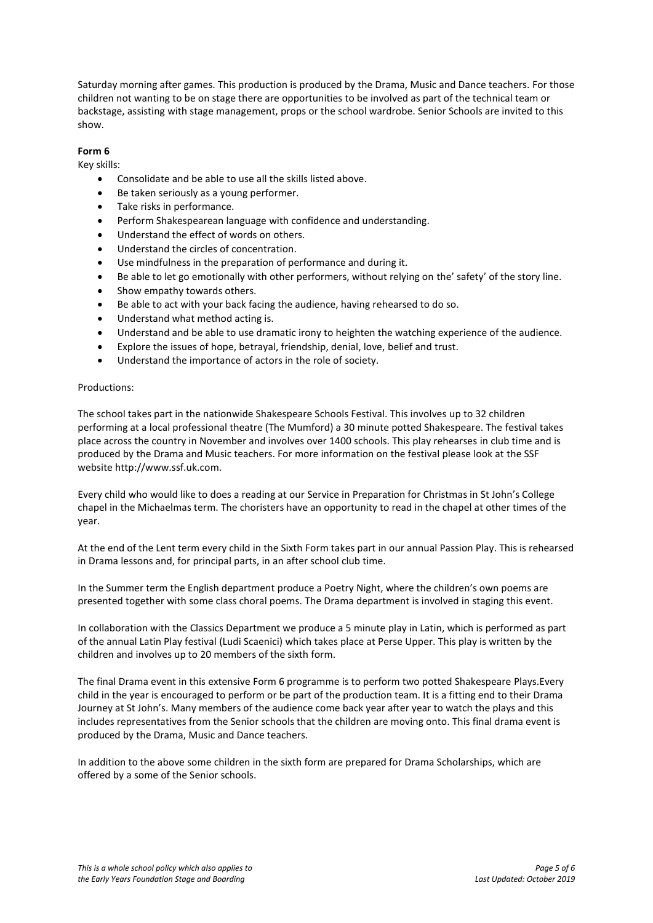Saturday morning after games. This production is produced by the Drama, Music and Dance teachers. For those children not wanting to be on stage there are opportunities to be involved as part of the technical team or backstage, assisting with stage management, props or the school wardrobe. Senior Schools are invited to this show.

# **Form 6**

Key skills:

- Consolidate and be able to use all the skills listed above.
- Be taken seriously as a young performer.
- Take risks in performance.
- Perform Shakespearean language with confidence and understanding.
- Understand the effect of words on others.
- Understand the circles of concentration.
- Use mindfulness in the preparation of performance and during it.
- Be able to let go emotionally with other performers, without relying on the' safety' of the story line.
- Show empathy towards others.
- Be able to act with your back facing the audience, having rehearsed to do so.
- Understand what method acting is.
- Understand and be able to use dramatic irony to heighten the watching experience of the audience.
- Explore the issues of hope, betrayal, friendship, denial, love, belief and trust.
- Understand the importance of actors in the role of society.

# Productions:

The school takes part in the nationwide Shakespeare Schools Festival. This involves up to 32 children performing at a local professional theatre (The Mumford) a 30 minute potted Shakespeare. The festival takes place across the country in November and involves over 1400 schools. This play rehearses in club time and is produced by the Drama and Music teachers. For more information on the festival please look at the SSF website http://www.ssf.uk.com.

Every child who would like to does a reading at our Service in Preparation for Christmas in St John's College chapel in the Michaelmas term. The choristers have an opportunity to read in the chapel at other times of the year.

At the end of the Lent term every child in the Sixth Form takes part in our annual Passion Play. This is rehearsed in Drama lessons and, for principal parts, in an after school club time.

In the Summer term the English department produce a Poetry Night, where the children's own poems are presented together with some class choral poems. The Drama department is involved in staging this event.

In collaboration with the Classics Department we produce a 5 minute play in Latin, which is performed as part of the annual Latin Play festival (Ludi Scaenici) which takes place at Perse Upper. This play is written by the children and involves up to 20 members of the sixth form.

The final Drama event in this extensive Form 6 programme is to perform two potted Shakespeare Plays.Every child in the year is encouraged to perform or be part of the production team. It is a fitting end to their Drama Journey at St John's. Many members of the audience come back year after year to watch the plays and this includes representatives from the Senior schools that the children are moving onto. This final drama event is produced by the Drama, Music and Dance teachers.

In addition to the above some children in the sixth form are prepared for Drama Scholarships, which are offered by a some of the Senior schools.